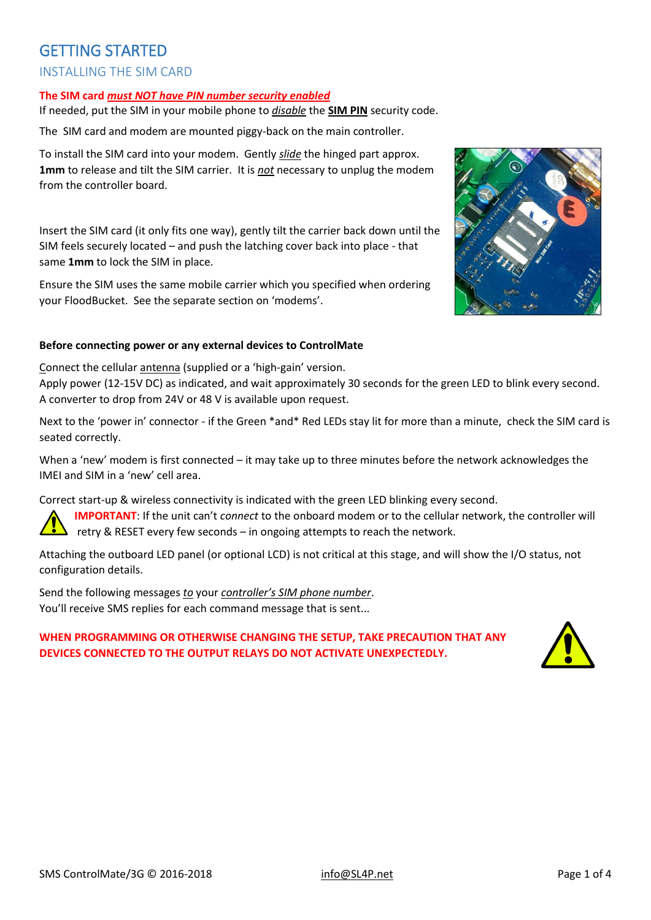# GETTING STARTED INSTALLING THE SIM CARD

#### **The SIM card** *must NOT have PIN number security enabled*

If needed, put the SIM in your mobile phone to *disable* the **SIM PIN** security code.

The SIM card and modem are mounted piggy-back on the main controller.

To install the SIM card into your modem. Gently *slide* the hinged part approx. **1mm** to release and tilt the SIM carrier. It is *not* necessary to unplug the modem from the controller board.

Insert the SIM card (it only fits one way), gently tilt the carrier back down until the SIM feels securely located – and push the latching cover back into place - that same **1mm** to lock the SIM in place.

Ensure the SIM uses the same mobile carrier which you specified when ordering your FloodBucket. See the separate section on 'modems'.

#### **Before connecting power or any external devices to ControlMate**

Connect the cellular antenna (supplied or a 'high-gain' version.

Apply power (12-15V DC) as indicated, and wait approximately 30 seconds for the green LED to blink every second. A converter to drop from 24V or 48 V is available upon request.

Next to the 'power in' connector - if the Green \*and\* Red LEDs stay lit for more than a minute, check the SIM card is seated correctly.

When a 'new' modem is first connected – it may take up to three minutes before the network acknowledges the IMEI and SIM in a 'new' cell area.

Correct start-up & wireless connectivity is indicated with the green LED blinking every second.

**IMPORTANT**: If the unit can't *connect* to the onboard modem or to the cellular network, the controller will retry & RESET every few seconds – in ongoing attempts to reach the network.

Attaching the outboard LED panel (or optional LCD) is not critical at this stage, and will show the I/O status, not configuration details.

Send the following messages *to* your *controller's SIM phone number*. You'll receive SMS replies for each command message that is sent...

### **WHEN PROGRAMMING OR OTHERWISE CHANGING THE SETUP, TAKE PRECAUTION THAT ANY DEVICES CONNECTED TO THE OUTPUT RELAYS DO NOT ACTIVATE UNEXPECTEDLY.**

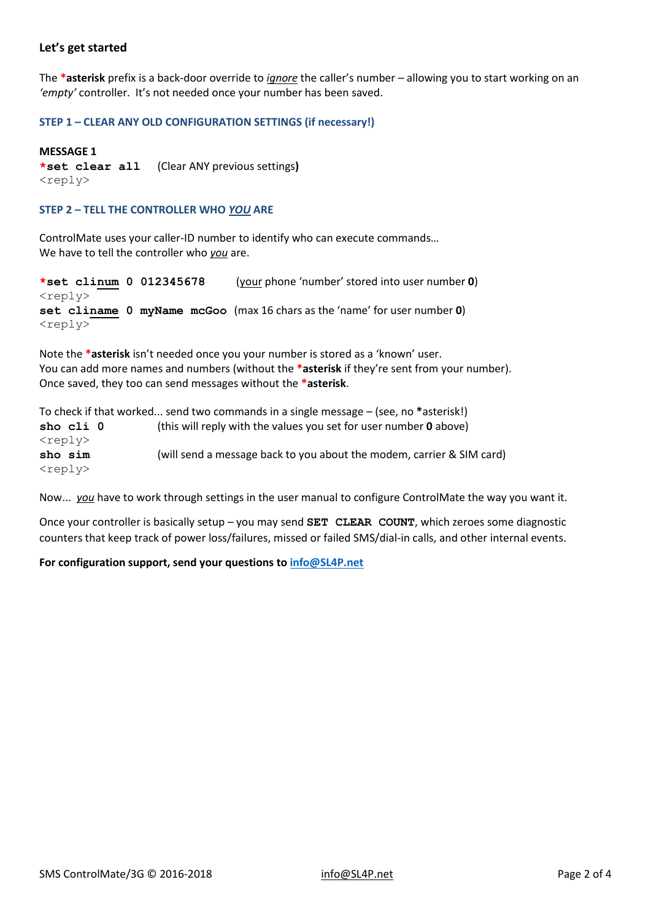### **Let's get started**

The **\*asterisk** prefix is a back-door override to *ignore* the caller's number – allowing you to start working on an *'empty'* controller. It's not needed once your number has been saved.

#### **STEP 1 – CLEAR ANY OLD CONFIGURATION SETTINGS (if necessary!)**

#### **MESSAGE 1**

**\*set clear all** (Clear ANY previous settings**)**  $<$ reply $>$ 

#### **STEP 2 – TELL THE CONTROLLER WHO** *YOU* **ARE**

ControlMate uses your caller-ID number to identify who can execute commands… We have to tell the controller who *you* are.

```
*set clinum 0 012345678 (your phone 'number' stored into user number 0)
<reply>
set cliname 0 myName mcGoo (max 16 chars as the 'name' for user number 0)
<reply>
```
Note the **\*asterisk** isn't needed once you your number is stored as a 'known' user. You can add more names and numbers (without the **\*asterisk** if they're sent from your number). Once saved, they too can send messages without the **\*asterisk**.

To check if that worked... send two commands in a single message – (see, no **\***asterisk!) **sho cli 0** (this will reply with the values you set for user number **0** above) <reply> **sho sim** (will send a message back to you about the modem, carrier & SIM card) <reply>

Now... *you* have to work through settings in the user manual to configure ControlMate the way you want it.

Once your controller is basically setup – you may send **SET CLEAR COUNT**, which zeroes some diagnostic counters that keep track of power loss/failures, missed or failed SMS/dial-in calls, and other internal events.

#### **For configuration support, send your questions to [info@SL4P.net](mailto:info@SL4P.net)**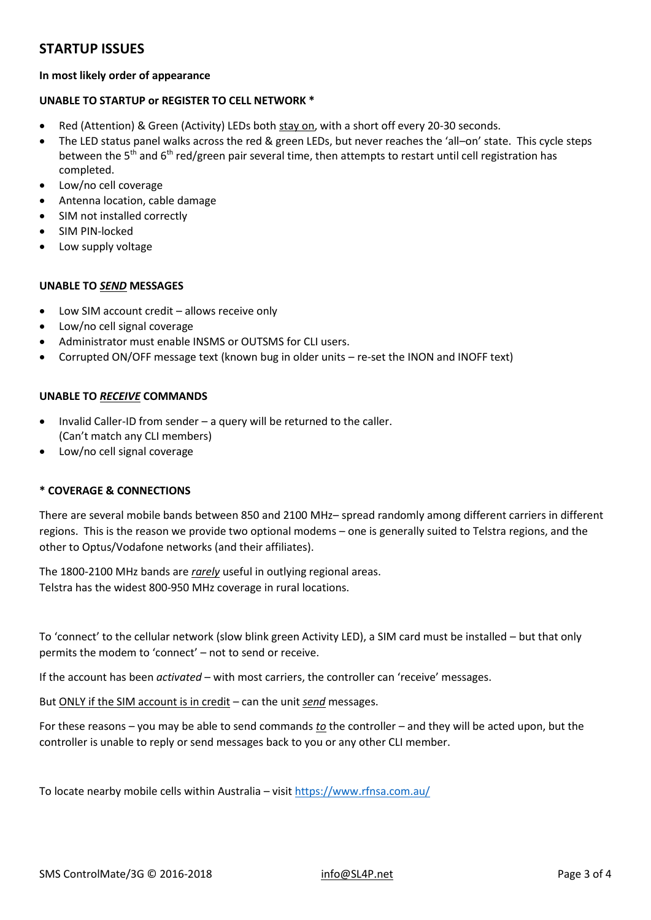## **STARTUP ISSUES**

#### **In most likely order of appearance**

### **UNABLE TO STARTUP or REGISTER TO CELL NETWORK \***

- Red (Attention) & Green (Activity) LEDs both stay on, with a short off every 20-30 seconds.
- The LED status panel walks across the red & green LEDs, but never reaches the 'all–on' state. This cycle steps between the 5<sup>th</sup> and 6<sup>th</sup> red/green pair several time, then attempts to restart until cell registration has completed.
- Low/no cell coverage
- Antenna location, cable damage
- SIM not installed correctly
- SIM PIN-locked
- Low supply voltage

#### **UNABLE TO** *SEND* **MESSAGES**

- Low SIM account credit allows receive only
- Low/no cell signal coverage
- Administrator must enable INSMS or OUTSMS for CLI users.
- Corrupted ON/OFF message text (known bug in older units re-set the INON and INOFF text)

#### **UNABLE TO** *RECEIVE* **COMMANDS**

- Invalid Caller-ID from sender a query will be returned to the caller. (Can't match any CLI members)
- Low/no cell signal coverage

#### **\* COVERAGE & CONNECTIONS**

There are several mobile bands between 850 and 2100 MHz– spread randomly among different carriers in different regions. This is the reason we provide two optional modems – one is generally suited to Telstra regions, and the other to Optus/Vodafone networks (and their affiliates).

The 1800-2100 MHz bands are *rarely* useful in outlying regional areas. Telstra has the widest 800-950 MHz coverage in rural locations.

To 'connect' to the cellular network (slow blink green Activity LED), a SIM card must be installed – but that only permits the modem to 'connect' – not to send or receive.

If the account has been *activated* – with most carriers, the controller can 'receive' messages.

But ONLY if the SIM account is in credit – can the unit *send* messages.

For these reasons – you may be able to send commands *to* the controller – and they will be acted upon, but the controller is unable to reply or send messages back to you or any other CLI member.

To locate nearby mobile cells within Australia – visi[t https://www.rfnsa.com.au/](https://www.rfnsa.com.au/)